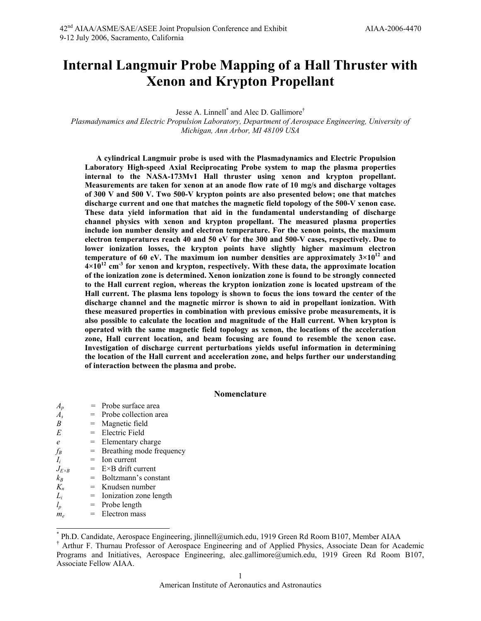# **Internal Langmuir Probe Mapping of a Hall Thruster with Xenon and Krypton Propellant**

Jesse A. Linnell<sup>\*</sup> and Alec D. Gallimore<sup>†</sup>

*Plasmadynamics and Electric Propulsion Laboratory, Department of Aerospace Engineering, University of Michigan, Ann Arbor, MI 48109 USA* 

**A cylindrical Langmuir probe is used with the Plasmadynamics and Electric Propulsion Laboratory High-speed Axial Reciprocating Probe system to map the plasma properties internal to the NASA-173Mv1 Hall thruster using xenon and krypton propellant. Measurements are taken for xenon at an anode flow rate of 10 mg/s and discharge voltages of 300 V and 500 V. Two 500-V krypton points are also presented below; one that matches discharge current and one that matches the magnetic field topology of the 500-V xenon case. These data yield information that aid in the fundamental understanding of discharge channel physics with xenon and krypton propellant. The measured plasma properties include ion number density and electron temperature. For the xenon points, the maximum electron temperatures reach 40 and 50 eV for the 300 and 500-V cases, respectively. Due to**  lower ionization losses, the krypton points have slightly higher maximum electron **temperature of 60 eV.** The maximum ion number densities are approximately  $3 \times 10^{12}$  and **4×1012 cm-3 for xenon and krypton, respectively. With these data, the approximate location of the ionization zone is determined. Xenon ionization zone is found to be strongly connected to the Hall current region, whereas the krypton ionization zone is located upstream of the Hall current. The plasma lens topology is shown to focus the ions toward the center of the discharge channel and the magnetic mirror is shown to aid in propellant ionization. With these measured properties in combination with previous emissive probe measurements, it is also possible to calculate the location and magnitude of the Hall current. When krypton is operated with the same magnetic field topology as xenon, the locations of the acceleration zone, Hall current location, and beam focusing are found to resemble the xenon case. Investigation of discharge current perturbations yields useful information in determining the location of the Hall current and acceleration zone, and helps further our understanding of interaction between the plasma and probe.** 

## **Nomenclature**

| $A_p$           |     | $=$ Probe surface area     |
|-----------------|-----|----------------------------|
| $A_{s}$         | $=$ | Probe collection area      |
| $\overline{B}$  |     | = Magnetic field           |
| E               | $=$ | Electric Field             |
| $\epsilon$      | $=$ | Elementary charge          |
| $f_B$           |     | = Breathing mode frequency |
| $I_i$           |     | $=$ Ion current            |
| $J_{E\times B}$ | $=$ | $E \times B$ drift current |
| $k_B$           |     | $=$ Boltzmann's constant   |
| $K_n$           | $=$ | Knudsen number             |
| $L_i$           | $=$ | Ionization zone length     |
| $l_p$           |     | $=$ Probe length           |
| $m_e$           | $=$ | Electron mass              |
|                 |     |                            |

-

<sup>\*</sup> Ph.D. Candidate, Aerospace Engineering, jlinnell@umich.edu, 1919 Green Rd Room B107, Member AIAA

<sup>†</sup> Arthur F. Thurnau Professor of Aerospace Engineering and of Applied Physics, Associate Dean for Academic Programs and Initiatives, Aerospace Engineering, alec.gallimore@umich.edu, 1919 Green Rd Room B107, Associate Fellow AIAA.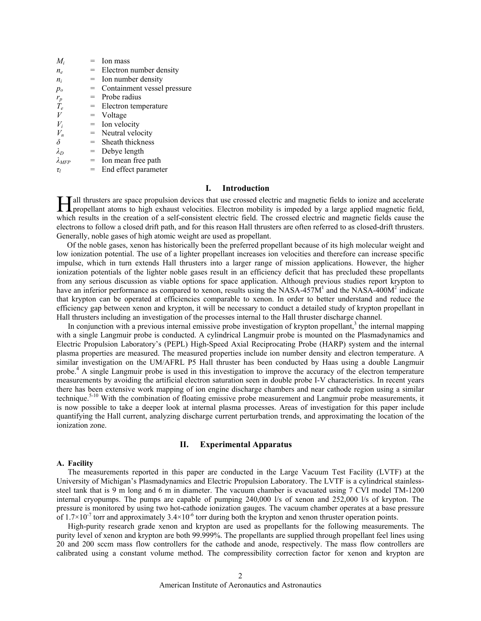| Ion mass                      |
|-------------------------------|
| Electron number density       |
| Ion number density<br>$=$     |
| = Containment vessel pressure |
| $=$ Probe radius              |
| $=$ Electron temperature      |
| $=$ Voltage                   |
| $=$ Ion velocity              |
| $=$ Neutral velocity          |
| $=$ Sheath thickness          |
| Debye length                  |
| Ion mean free path            |
| End effect parameter          |
|                               |

### **I. Introduction**

all thrusters are space propulsion devices that use crossed electric and magnetic fields to ionize and accelerate **Hella thrusters are space propulsion devices that use crossed electric and magnetic fields to ionize and accelerate** propellant atoms to high exhaust velocities. Electron mobility is impeded by a large applied magnetic fi which results in the creation of a self-consistent electric field. The crossed electric and magnetic fields cause the electrons to follow a closed drift path, and for this reason Hall thrusters are often referred to as closed-drift thrusters. Generally, noble gases of high atomic weight are used as propellant.

Of the noble gases, xenon has historically been the preferred propellant because of its high molecular weight and low ionization potential. The use of a lighter propellant increases ion velocities and therefore can increase specific impulse, which in turn extends Hall thrusters into a larger range of mission applications. However, the higher ionization potentials of the lighter noble gases result in an efficiency deficit that has precluded these propellants from any serious discussion as viable options for space application. Although previous studies report krypton to have an inferior performance as compared to xenon, results using the NASA-457 $M<sup>1</sup>$  and the NASA-400 $M<sup>2</sup>$  indicate that krypton can be operated at efficiencies comparable to xenon. In order to better understand and reduce the efficiency gap between xenon and krypton, it will be necessary to conduct a detailed study of krypton propellant in Hall thrusters including an investigation of the processes internal to the Hall thruster discharge channel.

In conjunction with a previous internal emissive probe investigation of krypton propellant,<sup>3</sup> the internal mapping with a single Langmuir probe is conducted. A cylindrical Langmuir probe is mounted on the Plasmadynamics and Electric Propulsion Laboratory's (PEPL) High-Speed Axial Reciprocating Probe (HARP) system and the internal plasma properties are measured. The measured properties include ion number density and electron temperature. A similar investigation on the UM/AFRL P5 Hall thruster has been conducted by Haas using a double Langmuir probe.<sup>4</sup> A single Langmuir probe is used in this investigation to improve the accuracy of the electron temperature measurements by avoiding the artificial electron saturation seen in double probe I-V characteristics. In recent years there has been extensive work mapping of ion engine discharge chambers and near cathode region using a similar technique.5-10 With the combination of floating emissive probe measurement and Langmuir probe measurements, it is now possible to take a deeper look at internal plasma processes. Areas of investigation for this paper include quantifying the Hall current, analyzing discharge current perturbation trends, and approximating the location of the ionization zone.

## **II. Experimental Apparatus**

#### **A. Facility**

The measurements reported in this paper are conducted in the Large Vacuum Test Facility (LVTF) at the University of Michigan's Plasmadynamics and Electric Propulsion Laboratory. The LVTF is a cylindrical stainlesssteel tank that is 9 m long and 6 m in diameter. The vacuum chamber is evacuated using 7 CVI model TM-1200 internal cryopumps. The pumps are capable of pumping 240,000 l/s of xenon and 252,000 l/s of krypton. The pressure is monitored by using two hot-cathode ionization gauges. The vacuum chamber operates at a base pressure of  $1.7\times10^{-7}$  torr and approximately  $3.4\times10^{-6}$  torr during both the krypton and xenon thruster operation points.

High-purity research grade xenon and krypton are used as propellants for the following measurements. The purity level of xenon and krypton are both 99.999%. The propellants are supplied through propellant feel lines using 20 and 200 sccm mass flow controllers for the cathode and anode, respectively. The mass flow controllers are calibrated using a constant volume method. The compressibility correction factor for xenon and krypton are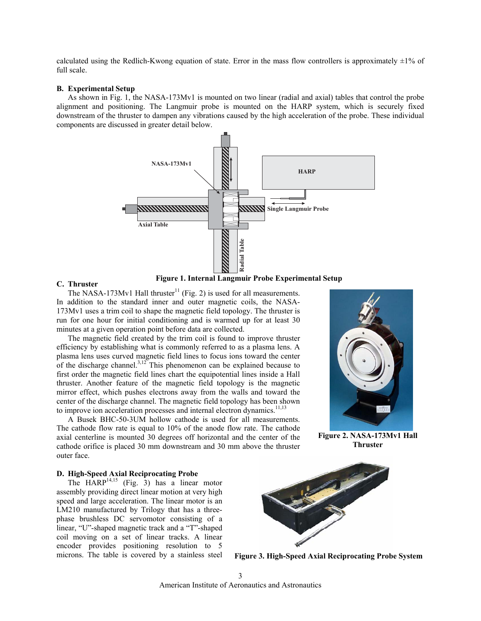calculated using the Redlich-Kwong equation of state. Error in the mass flow controllers is approximately  $\pm 1\%$  of full scale.

### **B. Experimental Setup**

As shown in Fig. 1, the NASA-173Mv1 is mounted on two linear (radial and axial) tables that control the probe alignment and positioning. The Langmuir probe is mounted on the HARP system, which is securely fixed downstream of the thruster to dampen any vibrations caused by the high acceleration of the probe. These individual components are discussed in greater detail below.



**Figure 1. Internal Langmuir Probe Experimental Setup**

#### **C. Thruster**

The NASA-173Mv1 Hall thruster<sup>11</sup> (Fig. 2) is used for all measurements. In addition to the standard inner and outer magnetic coils, the NASA-173Mv1 uses a trim coil to shape the magnetic field topology. The thruster is run for one hour for initial conditioning and is warmed up for at least 30 minutes at a given operation point before data are collected.

 The magnetic field created by the trim coil is found to improve thruster efficiency by establishing what is commonly referred to as a plasma lens. A plasma lens uses curved magnetic field lines to focus ions toward the center of the discharge channel. $3,12$ <sup>T</sup>his phenomenon can be explained because to first order the magnetic field lines chart the equipotential lines inside a Hall thruster. Another feature of the magnetic field topology is the magnetic mirror effect, which pushes electrons away from the walls and toward the center of the discharge channel. The magnetic field topology has been shown to improve ion acceleration processes and internal electron dynamics.<sup>11,13</sup>

 A Busek BHC-50-3UM hollow cathode is used for all measurements. The cathode flow rate is equal to 10% of the anode flow rate. The cathode axial centerline is mounted 30 degrees off horizontal and the center of the cathode orifice is placed 30 mm downstream and 30 mm above the thruster outer face.

## **D. High-Speed Axial Reciprocating Probe**

The HARP<sup>14,15</sup> (Fig. 3) has a linear motor assembly providing direct linear motion at very high speed and large acceleration. The linear motor is an LM210 manufactured by Trilogy that has a threephase brushless DC servomotor consisting of a linear, "U"-shaped magnetic track and a "T"-shaped coil moving on a set of linear tracks. A linear encoder provides positioning resolution to 5 microns. The table is covered by a stainless steel



**Figure 2. NASA-173Mv1 Hall Thruster** 



**Figure 3. High-Speed Axial Reciprocating Probe System**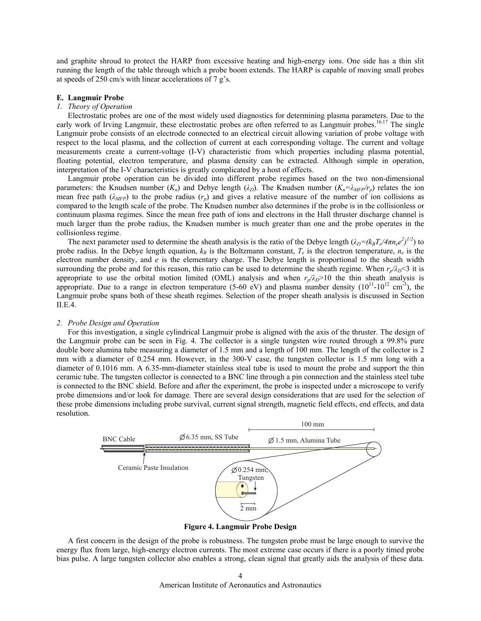and graphite shroud to protect the HARP from excessive heating and high-energy ions. One side has a thin slit running the length of the table through which a probe boom extends. The HARP is capable of moving small probes at speeds of 250 cm/s with linear accelerations of 7 g's.

#### **E. Langmuir Probe**

#### *1. Theory of Operation*

 Electrostatic probes are one of the most widely used diagnostics for determining plasma parameters. Due to the early work of Irving Langmuir, these electrostatic probes are often referred to as Langmuir probes.<sup>16,17</sup> The single Langmuir probe consists of an electrode connected to an electrical circuit allowing variation of probe voltage with respect to the local plasma, and the collection of current at each corresponding voltage. The current and voltage measurements create a current-voltage (I-V) characteristic from which properties including plasma potential, floating potential, electron temperature, and plasma density can be extracted. Although simple in operation, interpretation of the I-V characteristics is greatly complicated by a host of effects.

 Langmuir probe operation can be divided into different probe regimes based on the two non-dimensional parameters: the Knudsen number  $(K_n)$  and Debye length  $(\lambda_D)$ . The Knudsen number  $(K_n = \lambda_{MFP}/r_p)$  relates the ion mean free path ( $\lambda_{MFP}$ ) to the probe radius ( $r_p$ ) and gives a relative measure of the number of ion collisions as compared to the length scale of the probe. The Knudsen number also determines if the probe is in the collisionless or continuum plasma regimes. Since the mean free path of ions and electrons in the Hall thruster discharge channel is much larger than the probe radius, the Knudsen number is much greater than one and the probe operates in the collisionless regime.

The next parameter used to determine the sheath analysis is the ratio of the Debye length  $(\lambda_D = (k_B T_e / 4 \pi n_e e^2)^{1/2})$  to probe radius. In the Debye length equation,  $k_B$  is the Boltzmann constant,  $T_e$  is the electron temperature,  $n_e$  is the electron number density, and *e* is the elementary charge. The Debye length is proportional to the sheath width surrounding the probe and for this reason, this ratio can be used to determine the sheath regime. When  $r_p/\lambda_D \leq 3$  it is appropriate to use the orbital motion limited (OML) analysis and when  $r_p/\lambda_D$ >10 the thin sheath analysis is appropriate. Due to a range in electron temperature (5-60 eV) and plasma number density  $(10^{11} - 10^{12} \text{ cm}^{-3})$ , the Langmuir probe spans both of these sheath regimes. Selection of the proper sheath analysis is discussed in Section II.E.4.

# *2. Probe Design and Operation*

 For this investigation, a single cylindrical Langmuir probe is aligned with the axis of the thruster. The design of the Langmuir probe can be seen in Fig. 4. The collector is a single tungsten wire routed through a 99.8% pure double bore alumina tube measuring a diameter of 1.5 mm and a length of 100 mm. The length of the collector is 2 mm with a diameter of 0.254 mm. However, in the 300-V case, the tungsten collector is 1.5 mm long with a diameter of 0.1016 mm. A 6.35-mm-diameter stainless steal tube is used to mount the probe and support the thin ceramic tube. The tungsten collector is connected to a BNC line through a pin connection and the stainless steel tube is connected to the BNC shield. Before and after the experiment, the probe is inspected under a microscope to verify probe dimensions and/or look for damage. There are several design considerations that are used for the selection of these probe dimensions including probe survival, current signal strength, magnetic field effects, end effects, and data resolution.



**Figure 4. Langmuir Probe Design** 

 A first concern in the design of the probe is robustness. The tungsten probe must be large enough to survive the energy flux from large, high-energy electron currents. The most extreme case occurs if there is a poorly timed probe bias pulse. A large tungsten collector also enables a strong, clean signal that greatly aids the analysis of these data.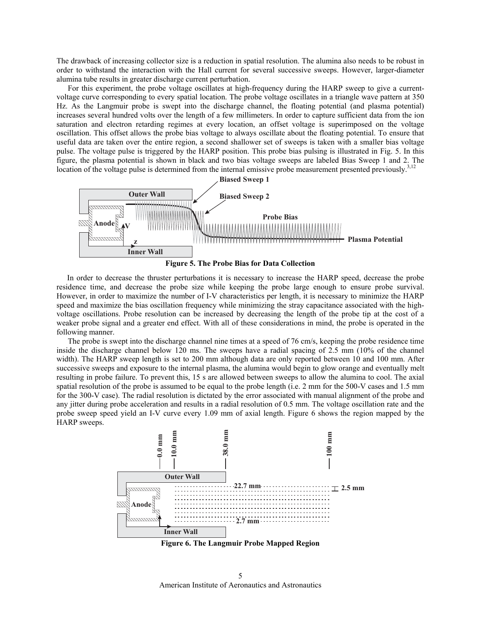The drawback of increasing collector size is a reduction in spatial resolution. The alumina also needs to be robust in order to withstand the interaction with the Hall current for several successive sweeps. However, larger-diameter alumina tube results in greater discharge current perturbation.

 For this experiment, the probe voltage oscillates at high-frequency during the HARP sweep to give a currentvoltage curve corresponding to every spatial location. The probe voltage oscillates in a triangle wave pattern at 350 Hz. As the Langmuir probe is swept into the discharge channel, the floating potential (and plasma potential) increases several hundred volts over the length of a few millimeters. In order to capture sufficient data from the ion saturation and electron retarding regimes at every location, an offset voltage is superimposed on the voltage oscillation. This offset allows the probe bias voltage to always oscillate about the floating potential. To ensure that useful data are taken over the entire region, a second shallower set of sweeps is taken with a smaller bias voltage pulse. The voltage pulse is triggered by the HARP position. This probe bias pulsing is illustrated in Fig. 5. In this figure, the plasma potential is shown in black and two bias voltage sweeps are labeled Bias Sweep 1 and 2. The location of the voltage pulse is determined from the internal emissive probe measurement presented previously.<sup>3,12</sup>



In order to decrease the thruster perturbations it is necessary to increase the HARP speed, decrease the probe residence time, and decrease the probe size while keeping the probe large enough to ensure probe survival. However, in order to maximize the number of I-V characteristics per length, it is necessary to minimize the HARP speed and maximize the bias oscillation frequency while minimizing the stray capacitance associated with the highvoltage oscillations. Probe resolution can be increased by decreasing the length of the probe tip at the cost of a weaker probe signal and a greater end effect. With all of these considerations in mind, the probe is operated in the following manner.

 The probe is swept into the discharge channel nine times at a speed of 76 cm/s, keeping the probe residence time inside the discharge channel below 120 ms. The sweeps have a radial spacing of 2.5 mm (10% of the channel width). The HARP sweep length is set to 200 mm although data are only reported between 10 and 100 mm. After successive sweeps and exposure to the internal plasma, the alumina would begin to glow orange and eventually melt resulting in probe failure. To prevent this, 15 s are allowed between sweeps to allow the alumina to cool. The axial spatial resolution of the probe is assumed to be equal to the probe length (i.e. 2 mm for the 500-V cases and 1.5 mm for the 300-V case). The radial resolution is dictated by the error associated with manual alignment of the probe and any jitter during probe acceleration and results in a radial resolution of 0.5 mm. The voltage oscillation rate and the probe sweep speed yield an I-V curve every 1.09 mm of axial length. Figure 6 shows the region mapped by the HARP sweeps.



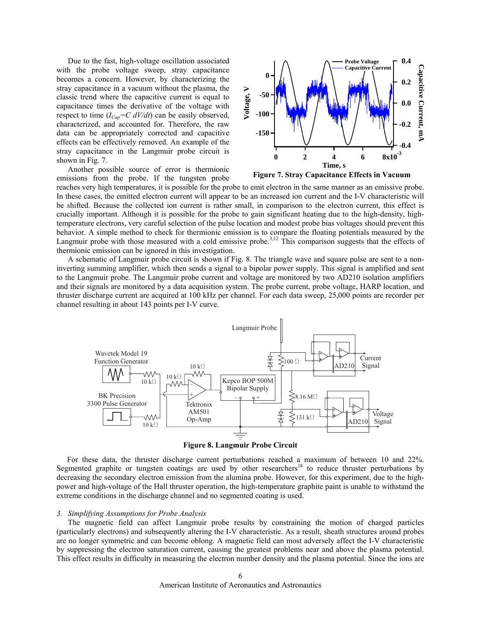Due to the fast, high-voltage oscillation associated with the probe voltage sweep, stray capacitance becomes a concern. However, by characterizing the stray capacitance in a vacuum without the plasma, the classic trend where the capacitive current is equal to capacitance times the derivative of the voltage with respect to time  $(I_{Cap} = C \frac{dV}{dt} )$  can be easily observed, characterized, and accounted for. Therefore, the raw data can be appropriately corrected and capacitive effects can be effectively removed. An example of the stray capacitance in the Langmuir probe circuit is shown in Fig. 7.

 Another possible source of error is thermionic emissions from the probe. If the tungsten probe





reaches very high temperatures, it is possible for the probe to emit electron in the same manner as an emissive probe. In these cases, the emitted electron current will appear to be an increased ion current and the I-V characteristic will be shifted. Because the collected ion current is rather small, in comparison to the electron current, this effect is crucially important. Although it is possible for the probe to gain significant heating due to the high-density, hightemperature electrons, very careful selection of the pulse location and modest probe bias voltages should prevent this behavior. A simple method to check for thermionic emission is to compare the floating potentials measured by the Langmuir probe with those measured with a cold emissive probe.<sup>3,12</sup> This comparison suggests that the effects of thermionic emission can be ignored in this investigation.

 A schematic of Langmuir probe circuit is shown if Fig. 8. The triangle wave and square pulse are sent to a noninverting summing amplifier, which then sends a signal to a bipolar power supply. This signal is amplified and sent to the Langmuir probe. The Langmuir probe current and voltage are monitored by two AD210 isolation amplifiers and their signals are monitored by a data acquisition system. The probe current, probe voltage, HARP location, and thruster discharge current are acquired at 100 kHz per channel. For each data sweep, 25,000 points are recorder per channel resulting in about 143 points per I-V curve.



**Figure 8. Langmuir Probe Circuit** 

For these data, the thruster discharge current perturbations reached a maximum of between 10 and 22%. Segmented graphite or tungsten coatings are used by other researchers<sup>18</sup> to reduce thruster perturbations by decreasing the secondary electron emission from the alumina probe. However, for this experiment, due to the highpower and high-voltage of the Hall thruster operation, the high-temperature graphite paint is unable to withstand the extreme conditions in the discharge channel and no segmented coating is used.

#### *3. Simplifying Assumptions for Probe Analysis*

 The magnetic field can affect Langmuir probe results by constraining the motion of charged particles (particularly electrons) and subsequently altering the I-V characteristic. As a result, sheath structures around probes are no longer symmetric and can become oblong. A magnetic field can most adversely affect the I-V characteristic by suppressing the electron saturation current, causing the greatest problems near and above the plasma potential. This effect results in difficulty in measuring the electron number density and the plasma potential. Since the ions are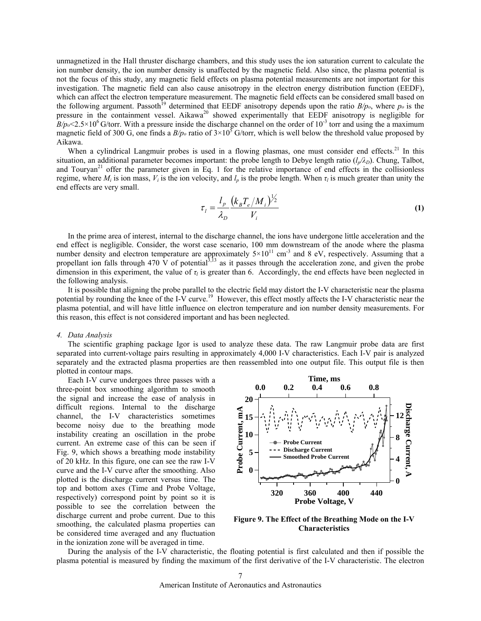unmagnetized in the Hall thruster discharge chambers, and this study uses the ion saturation current to calculate the ion number density, the ion number density is unaffected by the magnetic field. Also since, the plasma potential is not the focus of this study, any magnetic field effects on plasma potential measurements are not important for this investigation. The magnetic field can also cause anisotropy in the electron energy distribution function (EEDF), which can affect the electron temperature measurement. The magnetic field effects can be considered small based on the following argument. Passoth<sup>19</sup> determined that EEDF anisotropy depends upon the ratio  $B/p<sub>o</sub>$ , where  $p<sub>o</sub>$  is the pressure in the containment vessel. Aikawa<sup>20</sup> showed experimentally that EEDF anisotropy is negligible for  $B/p_0 \leq 2.5 \times 10^6$  G/torr. With a pressure inside the discharge channel on the order of  $10^{-3}$  torr and using the a maximum magnetic field of 300 G, one finds a  $B/p_0$  ratio of  $3 \times 10^5$  G/torr, which is well below the threshold value proposed by Aikawa.

When a cylindrical Langmuir probes is used in a flowing plasmas, one must consider end effects.<sup>21</sup> In this situation, an additional parameter becomes important: the probe length to Debye length ratio  $(l_p/\lambda_p)$ . Chung, Talbot, and Touryan<sup>21</sup> offer the parameter given in Eq. 1 for the relative importance of end effects in the collisionless regime, where  $M_i$  is ion mass,  $V_i$  is the ion velocity, and  $l_p$  is the probe length. When  $\tau_i$  is much greater than unity the end effects are very small.

$$
\tau_{l} = \frac{l_{p}}{\lambda_{D}} \frac{\left(k_{B} T_{e} / M_{i}\right)^{\frac{1}{2}}}{V_{i}}
$$
\n(1)

 In the prime area of interest, internal to the discharge channel, the ions have undergone little acceleration and the end effect is negligible. Consider, the worst case scenario, 100 mm downstream of the anode where the plasma number density and electron temperature are approximately  $5\times10^{11}$  cm<sup>-3</sup> and 8 eV, respectively. Assuming that a propellant ion falls through 470 V of potential<sup>3,13</sup> as it passes through the acceleration zone, and given the probe dimension in this experiment, the value of  $\tau$ <sup>*l*</sup> is greater than 6. Accordingly, the end effects have been neglected in the following analysis.

 It is possible that aligning the probe parallel to the electric field may distort the I-V characteristic near the plasma potential by rounding the knee of the I-V curve.<sup>19</sup> However, this effect mostly affects the I-V characteristic near the plasma potential, and will have little influence on electron temperature and ion number density measurements. For this reason, this effect is not considered important and has been neglected.

#### *4. Data Analysis*

 The scientific graphing package Igor is used to analyze these data. The raw Langmuir probe data are first separated into current-voltage pairs resulting in approximately 4,000 I-V characteristics. Each I-V pair is analyzed separately and the extracted plasma properties are then reassembled into one output file. This output file is then plotted in contour maps.

 Each I-V curve undergoes three passes with a three-point box smoothing algorithm to smooth the signal and increase the ease of analysis in difficult regions. Internal to the discharge channel, the I-V characteristics sometimes become noisy due to the breathing mode instability creating an oscillation in the probe current. An extreme case of this can be seen if Fig. 9, which shows a breathing mode instability of 20 kHz. In this figure, one can see the raw I-V curve and the I-V curve after the smoothing. Also plotted is the discharge current versus time. The top and bottom axes (Time and Probe Voltage, respectively) correspond point by point so it is possible to see the correlation between the discharge current and probe current. Due to this smoothing, the calculated plasma properties can be considered time averaged and any fluctuation in the ionization zone will be averaged in time.



**Figure 9. The Effect of the Breathing Mode on the I-V Characteristics** 

 During the analysis of the I-V characteristic, the floating potential is first calculated and then if possible the plasma potential is measured by finding the maximum of the first derivative of the I-V characteristic. The electron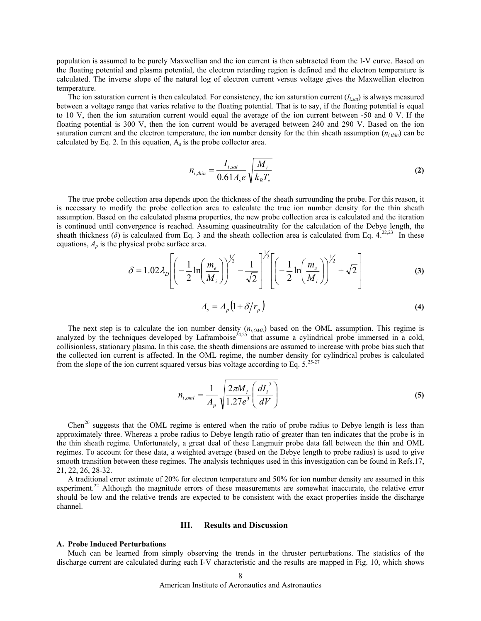population is assumed to be purely Maxwellian and the ion current is then subtracted from the I-V curve. Based on the floating potential and plasma potential, the electron retarding region is defined and the electron temperature is calculated. The inverse slope of the natural log of electron current versus voltage gives the Maxwellian electron temperature.

The ion saturation current is then calculated. For consistency, the ion saturation current  $(I_{i,sat})$  is always measured between a voltage range that varies relative to the floating potential. That is to say, if the floating potential is equal to 10 V, then the ion saturation current would equal the average of the ion current between -50 and 0 V. If the floating potential is 300 V, then the ion current would be averaged between 240 and 290 V. Based on the ion saturation current and the electron temperature, the ion number density for the thin sheath assumption  $(n_{i,thin})$  can be calculated by Eq. 2. In this equation,  $A_s$  is the probe collector area.

$$
n_{i,thin} = \frac{I_{i,sat}}{0.61A_s e} \sqrt{\frac{M_i}{k_B T_e}}
$$
 (2)

 The true probe collection area depends upon the thickness of the sheath surrounding the probe. For this reason, it is necessary to modify the probe collection area to calculate the true ion number density for the thin sheath assumption. Based on the calculated plasma properties, the new probe collection area is calculated and the iteration is continued until convergence is reached. Assuming quasineutrality for the calculation of the Debye length, the sheath thickness ( $\delta$ ) is calculated from Eq. 3 and the sheath collection area is calculated from Eq. 4.<sup>22,23</sup> In these equations, *Ap* is the physical probe surface area.  $\frac{1}{2}$ 

$$
\delta = 1.02 \lambda_D \left[ \left( -\frac{1}{2} \ln \left( \frac{m_e}{M_i} \right) \right)^{\frac{1}{2}} - \frac{1}{\sqrt{2}} \right]^{2} \left[ \left( -\frac{1}{2} \ln \left( \frac{m_e}{M_i} \right) \right)^{\frac{1}{2}} + \sqrt{2} \right]
$$
(3)

$$
A_s = A_p \left( 1 + \delta / r_p \right) \tag{4}
$$

The next step is to calculate the ion number density  $(n_{i,OML})$  based on the OML assumption. This regime is analyzed by the techniques developed by Laframboise<sup> $24,25$ </sup> that assume a cylindrical probe immersed in a cold, collisionless, stationary plasma. In this case, the sheath dimensions are assumed to increase with probe bias such that the collected ion current is affected. In the OML regime, the number density for cylindrical probes is calculated from the slope of the ion current squared versus bias voltage according to Eq. 5.<sup>25-27</sup>

$$
n_{i,oml} = \frac{1}{A_p} \sqrt{\frac{2\pi M_i}{1.27e^3} \left(\frac{dI_i^2}{dV}\right)}
$$
 (5)

 $Chen<sup>26</sup> suggests that the OML regime is entered when the ratio of probe radius to Debye length is less than$ approximately three. Whereas a probe radius to Debye length ratio of greater than ten indicates that the probe is in the thin sheath regime. Unfortunately, a great deal of these Langmuir probe data fall between the thin and OML regimes. To account for these data, a weighted average (based on the Debye length to probe radius) is used to give smooth transition between these regimes. The analysis techniques used in this investigation can be found in Refs.17, 21, 22, 26, 28-32.

 A traditional error estimate of 20% for electron temperature and 50% for ion number density are assumed in this experiment.<sup>22</sup> Although the magnitude errors of these measurements are somewhat inaccurate, the relative error should be low and the relative trends are expected to be consistent with the exact properties inside the discharge channel.

#### **III. Results and Discussion**

#### **A. Probe Induced Perturbations**

 Much can be learned from simply observing the trends in the thruster perturbations. The statistics of the discharge current are calculated during each I-V characteristic and the results are mapped in Fig. 10, which shows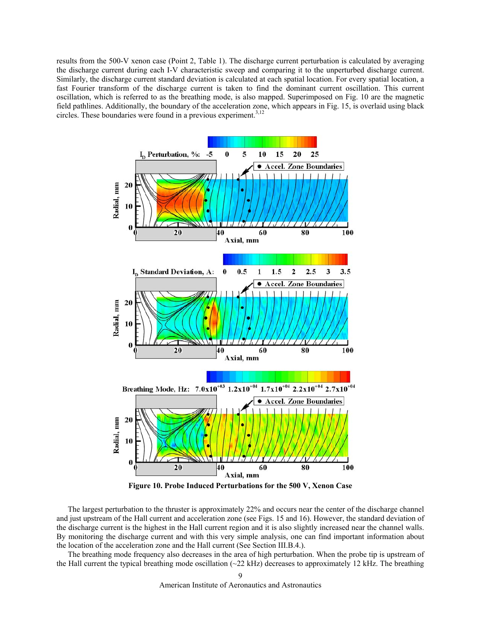results from the 500-V xenon case (Point 2, Table 1). The discharge current perturbation is calculated by averaging the discharge current during each I-V characteristic sweep and comparing it to the unperturbed discharge current. Similarly, the discharge current standard deviation is calculated at each spatial location. For every spatial location, a fast Fourier transform of the discharge current is taken to find the dominant current oscillation. This current oscillation, which is referred to as the breathing mode, is also mapped. Superimposed on Fig. 10 are the magnetic field pathlines. Additionally, the boundary of the acceleration zone, which appears in Fig. 15, is overlaid using black circles. These boundaries were found in a previous experiment. $3,12$ 



**Figure 10. Probe Induced Perturbations for the 500 V, Xenon Case** 

 The largest perturbation to the thruster is approximately 22% and occurs near the center of the discharge channel and just upstream of the Hall current and acceleration zone (see Figs. 15 and 16). However, the standard deviation of the discharge current is the highest in the Hall current region and it is also slightly increased near the channel walls. By monitoring the discharge current and with this very simple analysis, one can find important information about the location of the acceleration zone and the Hall current (See Section III.B.4.).

 The breathing mode frequency also decreases in the area of high perturbation. When the probe tip is upstream of the Hall current the typical breathing mode oscillation  $(\sim 22 \text{ kHz})$  decreases to approximately 12 kHz. The breathing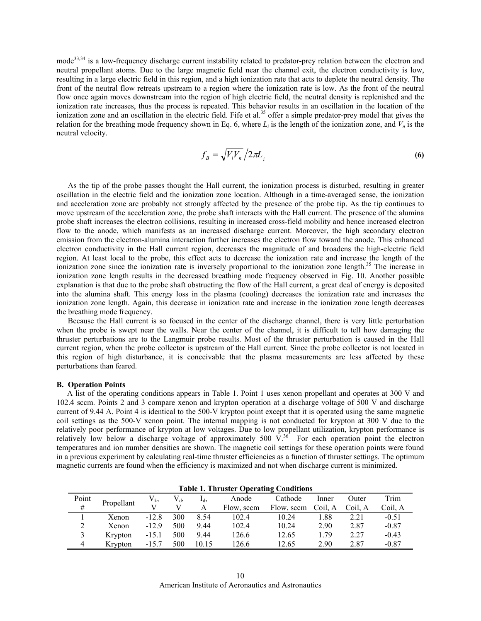mode<sup>33,34</sup> is a low-frequency discharge current instability related to predator-prey relation between the electron and neutral propellant atoms. Due to the large magnetic field near the channel exit, the electron conductivity is low, resulting in a large electric field in this region, and a high ionization rate that acts to deplete the neutral density. The front of the neutral flow retreats upstream to a region where the ionization rate is low. As the front of the neutral flow once again moves downstream into the region of high electric field, the neutral density is replenished and the ionization rate increases, thus the process is repeated. This behavior results in an oscillation in the location of the ionization zone and an oscillation in the electric field. Fife et al.<sup>35</sup> offer a simple predator-prey model that gives the relation for the breathing mode frequency shown in Eq. 6, where  $L_i$  is the length of the ionization zone, and  $V_n$  is the neutral velocity.

$$
f_B = \sqrt{V_i V_n} / 2\pi L_i \tag{6}
$$

 As the tip of the probe passes thought the Hall current, the ionization process is disturbed, resulting in greater oscillation in the electric field and the ionization zone location. Although in a time-averaged sense, the ionization and acceleration zone are probably not strongly affected by the presence of the probe tip. As the tip continues to move upstream of the acceleration zone, the probe shaft interacts with the Hall current. The presence of the alumina probe shaft increases the electron collisions, resulting in increased cross-field mobility and hence increased electron flow to the anode, which manifests as an increased discharge current. Moreover, the high secondary electron emission from the electron-alumina interaction further increases the electron flow toward the anode. This enhanced electron conductivity in the Hall current region, decreases the magnitude of and broadens the high-electric field region. At least local to the probe, this effect acts to decrease the ionization rate and increase the length of the ionization zone since the ionization rate is inversely proportional to the ionization zone length.<sup>35</sup> The increase in ionization zone length results in the decreased breathing mode frequency observed in Fig. 10. Another possible explanation is that due to the probe shaft obstructing the flow of the Hall current, a great deal of energy is deposited into the alumina shaft. This energy loss in the plasma (cooling) decreases the ionization rate and increases the ionization zone length. Again, this decrease in ionization rate and increase in the ionization zone length decreases the breathing mode frequency.

 Because the Hall current is so focused in the center of the discharge channel, there is very little perturbation when the probe is swept near the walls. Near the center of the channel, it is difficult to tell how damaging the thruster perturbations are to the Langmuir probe results. Most of the thruster perturbation is caused in the Hall current region, when the probe collector is upstream of the Hall current. Since the probe collector is not located in this region of high disturbance, it is conceivable that the plasma measurements are less affected by these perturbations than feared.

#### **B. Operation Points**

A list of the operating conditions appears in Table 1. Point 1 uses xenon propellant and operates at 300 V and 102.4 sccm. Points 2 and 3 compare xenon and krypton operation at a discharge voltage of 500 V and discharge current of 9.44 A. Point 4 is identical to the 500-V krypton point except that it is operated using the same magnetic coil settings as the 500-V xenon point. The internal mapping is not conducted for krypton at 300 V due to the relatively poor performance of krypton at low voltages. Due to low propellant utilization, krypton performance is relatively low below a discharge voltage of approximately 500  $\dot{V}^{36}$ . For each operation point the electron temperatures and ion number densities are shown. The magnetic coil settings for these operation points were found in a previous experiment by calculating real-time thruster efficiencies as a function of thruster settings. The optimum magnetic currents are found when the efficiency is maximized and not when discharge current is minimized.

| Table 1. Thruster Operating Conditions |            |         |         |                  |            |            |         |         |         |  |  |  |  |
|----------------------------------------|------------|---------|---------|------------------|------------|------------|---------|---------|---------|--|--|--|--|
| Point                                  | Propellant | $V_{k}$ | $V_{d}$ | I <sub>d</sub> , | Anode      | Cathode    | Inner   | Outer   | Trim    |  |  |  |  |
| #                                      |            |         |         | A                | Flow, sccm | Flow, sccm | Coil, A | Coil, A | Coil, A |  |  |  |  |
|                                        | Xenon      | $-12.8$ | 300     | 8.54             | 102.4      | 10.24      | 1.88    | 2.21    | $-0.51$ |  |  |  |  |
|                                        | Xenon      | $-129$  | 500     | 9.44             | 102.4      | 10.24      | 2.90    | 2.87    | $-0.87$ |  |  |  |  |
|                                        | Krypton    | $-15.1$ | 500     | 9.44             | 126.6      | 12.65      | 1.79    | 2.27    | $-0.43$ |  |  |  |  |
| 4                                      | Krypton    | $-15.7$ | 500     | 10.15            | 126.6      | 12.65      | 2.90    | 2.87    | $-0.87$ |  |  |  |  |

**Table 1. Thruster Operating Conditions**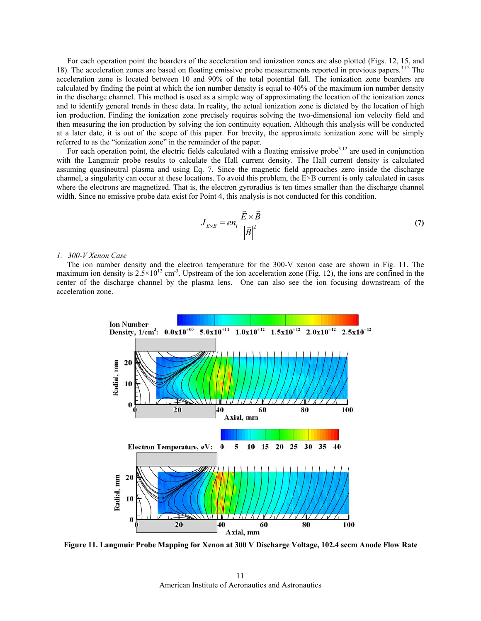For each operation point the boarders of the acceleration and ionization zones are also plotted (Figs. 12, 15, and 18). The acceleration zones are based on floating emissive probe measurements reported in previous papers.<sup>3,12</sup> The acceleration zone is located between 10 and 90% of the total potential fall. The ionization zone boarders are calculated by finding the point at which the ion number density is equal to 40% of the maximum ion number density in the discharge channel. This method is used as a simple way of approximating the location of the ionization zones and to identify general trends in these data. In reality, the actual ionization zone is dictated by the location of high ion production. Finding the ionization zone precisely requires solving the two-dimensional ion velocity field and then measuring the ion production by solving the ion continuity equation. Although this analysis will be conducted at a later date, it is out of the scope of this paper. For brevity, the approximate ionization zone will be simply referred to as the "ionization zone" in the remainder of the paper.

For each operation point, the electric fields calculated with a floating emissive probe<sup>3,12</sup> are used in conjunction with the Langmuir probe results to calculate the Hall current density. The Hall current density is calculated assuming quasineutral plasma and using Eq. 7. Since the magnetic field approaches zero inside the discharge channel, a singularity can occur at these locations. To avoid this problem, the  $E \times B$  current is only calculated in cases where the electrons are magnetized. That is, the electron gyroradius is ten times smaller than the discharge channel width. Since no emissive probe data exist for Point 4, this analysis is not conducted for this condition.

$$
J_{E\times B} = en_i \frac{\vec{E}\times \vec{B}}{\left|\vec{B}\right|^2} \tag{7}
$$

*1. 300-V Xenon Case* 

The ion number density and the electron temperature for the 300-V xenon case are shown in Fig. 11. The maximum ion density is  $2.5 \times 10^{12}$  cm<sup>-3</sup>. Upstream of the ion acceleration zone (Fig. 12), the ions are confined in the center of the discharge channel by the plasma lens. One can also see the ion focusing downstream of the acceleration zone.



**Figure 11. Langmuir Probe Mapping for Xenon at 300 V Discharge Voltage, 102.4 sccm Anode Flow Rate**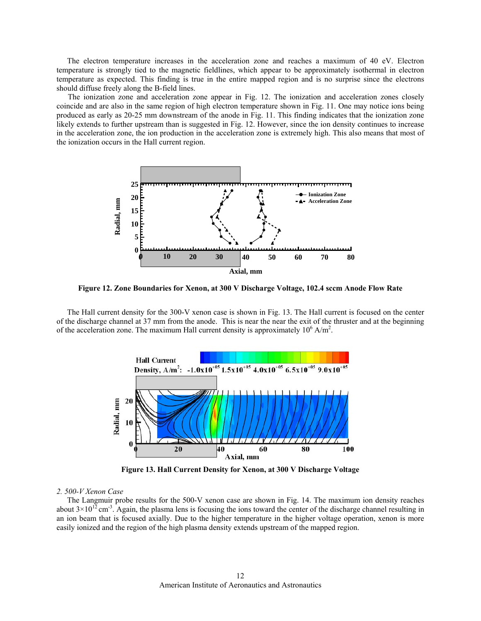The electron temperature increases in the acceleration zone and reaches a maximum of 40 eV. Electron temperature is strongly tied to the magnetic fieldlines, which appear to be approximately isothermal in electron temperature as expected. This finding is true in the entire mapped region and is no surprise since the electrons should diffuse freely along the B-field lines.

 The ionization zone and acceleration zone appear in Fig. 12. The ionization and acceleration zones closely coincide and are also in the same region of high electron temperature shown in Fig. 11. One may notice ions being produced as early as 20-25 mm downstream of the anode in Fig. 11. This finding indicates that the ionization zone likely extends to further upstream than is suggested in Fig. 12. However, since the ion density continues to increase in the acceleration zone, the ion production in the acceleration zone is extremely high. This also means that most of the ionization occurs in the Hall current region.



**Figure 12. Zone Boundaries for Xenon, at 300 V Discharge Voltage, 102.4 sccm Anode Flow Rate** 

The Hall current density for the 300-V xenon case is shown in Fig. 13. The Hall current is focused on the center of the discharge channel at 37 mm from the anode. This is near the near the exit of the thruster and at the beginning of the acceleration zone. The maximum Hall current density is approximately  $10^6$  A/m<sup>2</sup>.



## *2. 500-V Xenon Case*

The Langmuir probe results for the 500-V xenon case are shown in Fig. 14. The maximum ion density reaches about  $3\times10^{12}$  cm<sup>-3</sup>. Again, the plasma lens is focusing the ions toward the center of the discharge channel resulting in an ion beam that is focused axially. Due to the higher temperature in the higher voltage operation, xenon is more easily ionized and the region of the high plasma density extends upstream of the mapped region.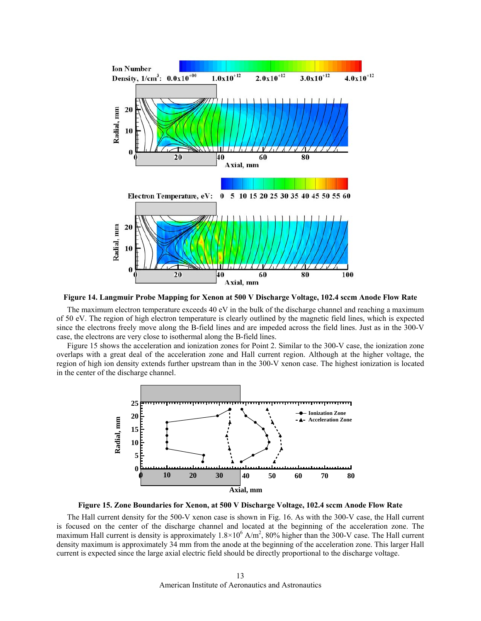

**Figure 14. Langmuir Probe Mapping for Xenon at 500 V Discharge Voltage, 102.4 sccm Anode Flow Rate** 

The maximum electron temperature exceeds 40 eV in the bulk of the discharge channel and reaching a maximum of 50 eV. The region of high electron temperature is clearly outlined by the magnetic field lines, which is expected since the electrons freely move along the B-field lines and are impeded across the field lines. Just as in the 300-V case, the electrons are very close to isothermal along the B-field lines.

Figure 15 shows the acceleration and ionization zones for Point 2. Similar to the 300-V case, the ionization zone overlaps with a great deal of the acceleration zone and Hall current region. Although at the higher voltage, the region of high ion density extends further upstream than in the 300-V xenon case. The highest ionization is located in the center of the discharge channel.



**Figure 15. Zone Boundaries for Xenon, at 500 V Discharge Voltage, 102.4 sccm Anode Flow Rate** 

The Hall current density for the 500-V xenon case is shown in Fig. 16. As with the 300-V case, the Hall current is focused on the center of the discharge channel and located at the beginning of the acceleration zone. The maximum Hall current is density is approximately  $1.8 \times 10^6$  A/m<sup>2</sup>, 80% higher than the 300-V case. The Hall current density maximum is approximately 34 mm from the anode at the beginning of the acceleration zone. This larger Hall current is expected since the large axial electric field should be directly proportional to the discharge voltage.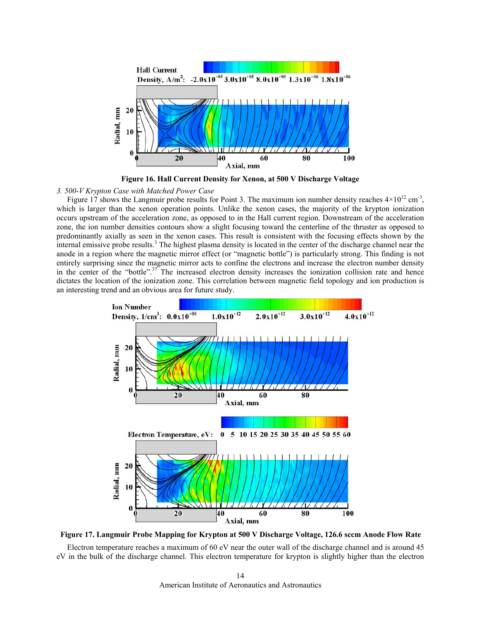

**Figure 16. Hall Current Density for Xenon, at 500 V Discharge Voltage**

*3. 500-V Krypton Case with Matched Power Case* 

Figure 17 shows the Langmuir probe results for Point 3. The maximum ion number density reaches  $4 \times 10^{12}$  cm<sup>-3</sup>, which is larger than the xenon operation points. Unlike the xenon cases, the majority of the krypton ionization occurs upstream of the acceleration zone, as opposed to in the Hall current region. Downstream of the acceleration zone, the ion number densities contours show a slight focusing toward the centerline of the thruster as opposed to predominantly axially as seen in the xenon cases. This result is consistent with the focusing effects shown by the internal emissive probe results.<sup>3</sup> The highest plasma density is located in the center of the discharge channel near the anode in a region where the magnetic mirror effect (or "magnetic bottle") is particularly strong. This finding is not entirely surprising since the magnetic mirror acts to confine the electrons and increase the electron number density in the center of the "bottle".<sup>37</sup> The increased electron density increases the ionization collision rate and hence dictates the location of the ionization zone. This correlation between magnetic field topology and ion production is an interesting trend and an obvious area for future study.



**Figure 17. Langmuir Probe Mapping for Krypton at 500 V Discharge Voltage, 126.6 sccm Anode Flow Rate**

Electron temperature reaches a maximum of 60 eV near the outer wall of the discharge channel and is around 45 eV in the bulk of the discharge channel. This electron temperature for krypton is slightly higher than the electron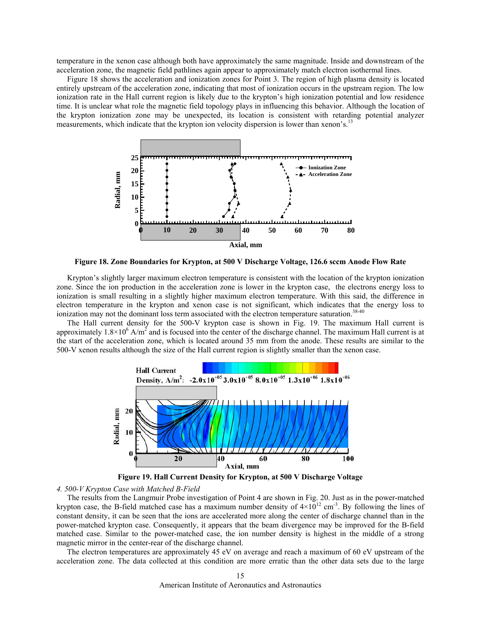temperature in the xenon case although both have approximately the same magnitude. Inside and downstream of the acceleration zone, the magnetic field pathlines again appear to approximately match electron isothermal lines.

Figure 18 shows the acceleration and ionization zones for Point 3. The region of high plasma density is located entirely upstream of the acceleration zone, indicating that most of ionization occurs in the upstream region. The low ionization rate in the Hall current region is likely due to the krypton's high ionization potential and low residence time. It is unclear what role the magnetic field topology plays in influencing this behavior. Although the location of the krypton ionization zone may be unexpected, its location is consistent with retarding potential analyzer measurements, which indicate that the krypton ion velocity dispersion is lower than xenon's.<sup>13</sup>



**Figure 18. Zone Boundaries for Krypton, at 500 V Discharge Voltage, 126.6 sccm Anode Flow Rate** 

Krypton's slightly larger maximum electron temperature is consistent with the location of the krypton ionization zone. Since the ion production in the acceleration zone is lower in the krypton case, the electrons energy loss to ionization is small resulting in a slightly higher maximum electron temperature. With this said, the difference in electron temperature in the krypton and xenon case is not significant, which indicates that the energy loss to ionization may not the dominant loss term associated with the electron temperature saturation.<sup>38-40</sup>

The Hall current density for the 500-V krypton case is shown in Fig. 19. The maximum Hall current is approximately  $1.8 \times 10^6$  A/m<sup>2</sup> and is focused into the center of the discharge channel. The maximum Hall current is at the start of the acceleration zone, which is located around 35 mm from the anode. These results are similar to the 500-V xenon results although the size of the Hall current region is slightly smaller than the xenon case.



**Figure 19. Hall Current Density for Krypton, at 500 V Discharge Voltage**

#### *4. 500-V Krypton Case with Matched B-Field*

The results from the Langmuir Probe investigation of Point 4 are shown in Fig. 20. Just as in the power-matched krypton case, the B-field matched case has a maximum number density of  $4\times10^{12}$  cm<sup>-3</sup>. By following the lines of constant density, it can be seen that the ions are accelerated more along the center of discharge channel than in the power-matched krypton case. Consequently, it appears that the beam divergence may be improved for the B-field matched case. Similar to the power-matched case, the ion number density is highest in the middle of a strong magnetic mirror in the center-rear of the discharge channel.

The electron temperatures are approximately 45 eV on average and reach a maximum of 60 eV upstream of the acceleration zone. The data collected at this condition are more erratic than the other data sets due to the large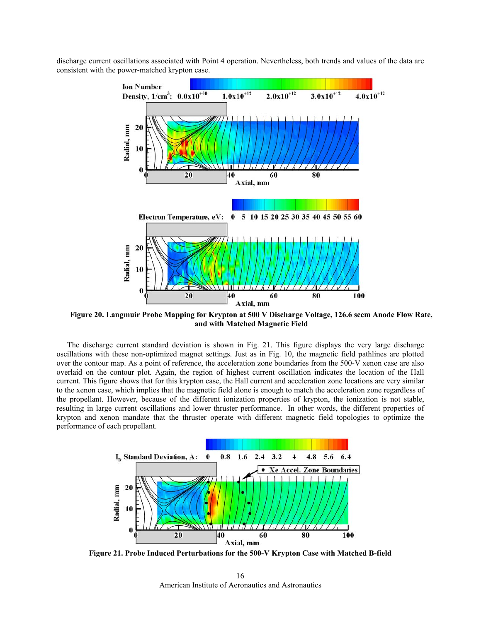discharge current oscillations associated with Point 4 operation. Nevertheless, both trends and values of the data are consistent with the power-matched krypton case.



**Figure 20. Langmuir Probe Mapping for Krypton at 500 V Discharge Voltage, 126.6 sccm Anode Flow Rate, and with Matched Magnetic Field** 

The discharge current standard deviation is shown in Fig. 21. This figure displays the very large discharge oscillations with these non-optimized magnet settings. Just as in Fig. 10, the magnetic field pathlines are plotted over the contour map. As a point of reference, the acceleration zone boundaries from the 500-V xenon case are also overlaid on the contour plot. Again, the region of highest current oscillation indicates the location of the Hall current. This figure shows that for this krypton case, the Hall current and acceleration zone locations are very similar to the xenon case, which implies that the magnetic field alone is enough to match the acceleration zone regardless of the propellant. However, because of the different ionization properties of krypton, the ionization is not stable, resulting in large current oscillations and lower thruster performance. In other words, the different properties of krypton and xenon mandate that the thruster operate with different magnetic field topologies to optimize the performance of each propellant.



**Figure 21. Probe Induced Perturbations for the 500-V Krypton Case with Matched B-field** 

American Institute of Aeronautics and Astronautics 16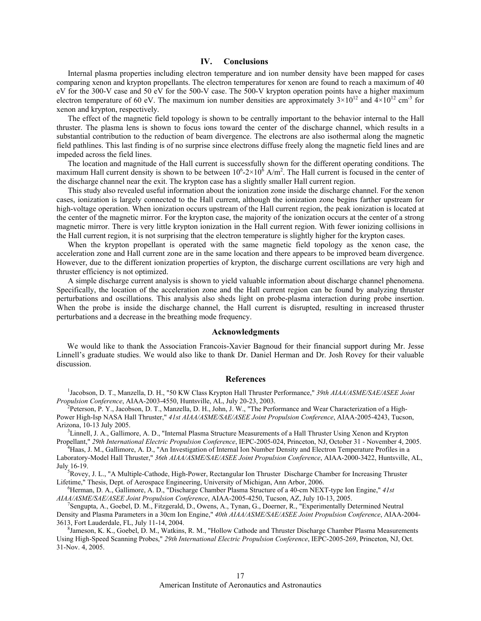## **IV. Conclusions**

 Internal plasma properties including electron temperature and ion number density have been mapped for cases comparing xenon and krypton propellants. The electron temperatures for xenon are found to reach a maximum of 40 eV for the 300-V case and 50 eV for the 500-V case. The 500-V krypton operation points have a higher maximum electron temperature of 60 eV. The maximum ion number densities are approximately  $3\times10^{12}$  and  $4\times10^{12}$  cm<sup>-3</sup> for xenon and krypton, respectively.

 The effect of the magnetic field topology is shown to be centrally important to the behavior internal to the Hall thruster. The plasma lens is shown to focus ions toward the center of the discharge channel, which results in a substantial contribution to the reduction of beam divergence. The electrons are also isothermal along the magnetic field pathlines. This last finding is of no surprise since electrons diffuse freely along the magnetic field lines and are impeded across the field lines.

 The location and magnitude of the Hall current is successfully shown for the different operating conditions. The maximum Hall current density is shown to be between  $10^6$ -2× $10^6$  A/m<sup>2</sup>. The Hall current is focused in the center of the discharge channel near the exit. The krypton case has a slightly smaller Hall current region.

 This study also revealed useful information about the ionization zone inside the discharge channel. For the xenon cases, ionization is largely connected to the Hall current, although the ionization zone begins farther upstream for high-voltage operation. When ionization occurs upstream of the Hall current region, the peak ionization is located at the center of the magnetic mirror. For the krypton case, the majority of the ionization occurs at the center of a strong magnetic mirror. There is very little krypton ionization in the Hall current region. With fewer ionizing collisions in the Hall current region, it is not surprising that the electron temperature is slightly higher for the krypton cases.

 When the krypton propellant is operated with the same magnetic field topology as the xenon case, the acceleration zone and Hall current zone are in the same location and there appears to be improved beam divergence. However, due to the different ionization properties of krypton, the discharge current oscillations are very high and thruster efficiency is not optimized.

 A simple discharge current analysis is shown to yield valuable information about discharge channel phenomena. Specifically, the location of the acceleration zone and the Hall current region can be found by analyzing thruster perturbations and oscillations. This analysis also sheds light on probe-plasma interaction during probe insertion. When the probe is inside the discharge channel, the Hall current is disrupted, resulting in increased thruster perturbations and a decrease in the breathing mode frequency.

# **Acknowledgments**

We would like to thank the Association Francois-Xavier Bagnoud for their financial support during Mr. Jesse Linnell's graduate studies. We would also like to thank Dr. Daniel Herman and Dr. Josh Rovey for their valuable discussion.

# **References**

<sup>1</sup>Jacobson, D. T., Manzella, D. H., "50 KW Class Krypton Hall Thruster Performance," 39th AIAA/ASME/SAE/ASEE Joint *Propulsion Conference*, AIAA-2003-4550, Huntsville, AL, July 20-23, 2003. 2

Peterson, P. Y., Jacobson, D. T., Manzella, D. H., John, J. W., "The Performance and Wear Characterization of a High-Power High-Isp NASA Hall Thruster," *41st AIAA/ASME/SAE/ASEE Joint Propulsion Conference*, AIAA-2005-4243, Tucson, Arizona, 10-13 July 2005. 3

 ${}^{3}$ Linnell, J. A., Gallimore, A. D., "Internal Plasma Structure Measurements of a Hall Thruster Using Xenon and Krypton Propellant," *29th International Electric Propulsion Conference*, IEPC-2005-024, Princeton, NJ, October 31 - November 4, 2005. 4

Haas, J. M., Gallimore, A. D., "An Investigation of Internal Ion Number Density and Electron Temperature Profiles in a Laboratory-Model Hall Thruster," *36th AIAA/ASME/SAE/ASEE Joint Propulsion Conference*, AIAA-2000-3422, Huntsville, AL, July 16-19. 5

 ${}^{5}$ Rovey, J. L., "A Multiple-Cathode, High-Power, Rectangular Ion Thruster Discharge Chamber for Increasing Thruster Lifetime," Thesis, Dept. of Aerospace Engineering, University of Michigan, Ann Arbor, 2006. 6

<sup>6</sup>Herman, D. A., Gallimore, A. D., "Discharge Chamber Plasma Structure of a 40-cm NEXT-type Ion Engine," 41st *AIAA/ASME/SAE/ASEE Joint Propulsion Conference*, AIAA-2005-4250, Tucson, AZ, July 10-13, 2005. 7

Sengupta, A., Goebel, D. M., Fitzgerald, D., Owens, A., Tynan, G., Doerner, R., "Experimentally Determined Neutral Density and Plasma Parameters in a 30cm Ion Engine," *40th AIAA/ASME/SAE/ASEE Joint Propulsion Conference*, AIAA-2004- 3613, Fort Lauderdale, FL, July 11-14, 2004. 8

<sup>8</sup>Jameson, K. K., Goebel, D. M., Watkins, R. M., "Hollow Cathode and Thruster Discharge Chamber Plasma Measurements Using High-Speed Scanning Probes," *29th International Electric Propulsion Conference*, IEPC-2005-269, Princeton, NJ, Oct. 31-Nov. 4, 2005.